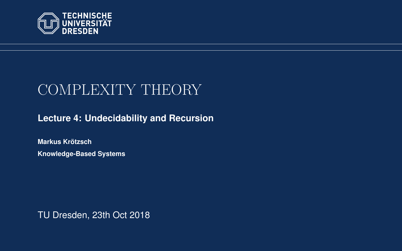<span id="page-0-0"></span>

# COMPLEXITY THEORY

**[Lecture 4: Undecidability and Recursion](https://iccl.inf.tu-dresden.de/web/Complexity_Theory_(WS2018/19))**

**[Markus Krotzsch](https://iccl.inf.tu-dresden.de/web/Markus_Kr%C3%B6tzsch/en) ¨ Knowledge-Based Systems**

TU Dresden, 23th Oct 2018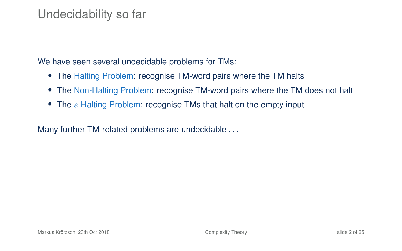### Undecidability so far

We have seen several undecidable problems for TMs:

- The Halting Problem: recognise TM-word pairs where the TM halts
- The Non-Halting Problem: recognise TM-word pairs where the TM does not halt
- <span id="page-1-0"></span>• The  $\varepsilon$ -Halting Problem: recognise TMs that halt on the empty input

Many further TM-related problems are undecidable ...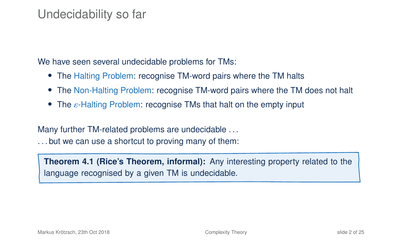### Undecidability so far

We have seen several undecidable problems for TMs:

- The Halting Problem: recognise TM-word pairs where the TM halts
- The Non-Halting Problem: recognise TM-word pairs where the TM does not halt
- The  $\varepsilon$ -Halting Problem: recognise TMs that halt on the empty input

Many further TM-related problems are undecidable . . .

. . . but we can use a shortcut to proving many of them:

**Theorem 4.1 (Rice's Theorem, informal):** Any interesting property related to the language recognised by a given TM is undecidable.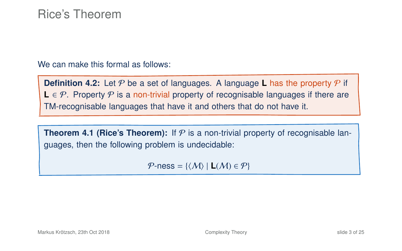### Rice's Theorem

We can make this formal as follows:

**Definition 4.2:** Let  $P$  be a set of languages. A language **L** has the property  $P$  if **L** ∈  $P$ . Property  $P$  is a non-trivial property of recognisable languages if there are TM-recognisable languages that have it and others that do not have it.

**Theorem 4[.1](#page-1-0) (Rice's Theorem):** If  $P$  is a non-trivial property of recognisable languages, then the following problem is undecidable:

 $P$ -ness = { $\langle M \rangle$  | **L** $(M) \in P$ }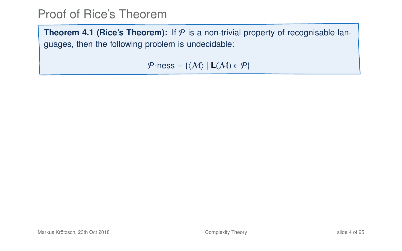**Theorem 4[.1](#page-1-0) (Rice's Theorem):** If  $P$  is a non-trivial property of recognisable languages, then the following problem is undecidable:

 $P$ -ness = { $\langle M \rangle$  | **L** $(M) \in P$ }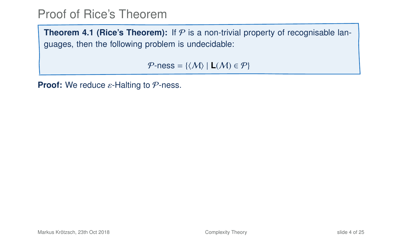**Theorem 4[.1](#page-1-0) (Rice's Theorem):** If  $P$  is a non-trivial property of recognisable languages, then the following problem is undecidable:

 $P$ -ness = { $\langle M \rangle$  | **L** $(M) \in P$ }

**Proof:** We reduce ε-Halting to *P*-ness.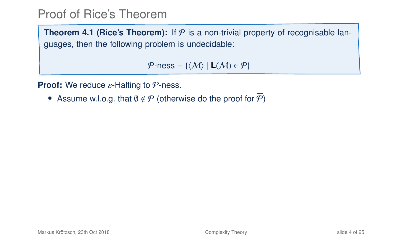**Theorem 4[.1](#page-1-0) (Rice's Theorem):** If  $P$  is a non-trivial property of recognisable languages, then the following problem is undecidable:

 $P$ -ness = { $\langle M \rangle$  | **L** $(M) \in P$ }

**Proof:** We reduce ε-Halting to *P*-ness.

• Assume w.l.o.g. that  $\emptyset \notin \mathcal{P}$  (otherwise do the proof for  $\overline{\mathcal{P}}$ )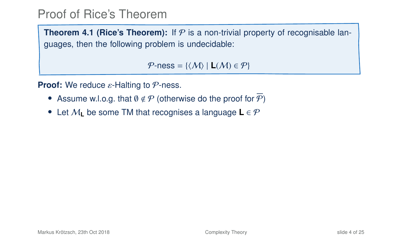**Theorem 4[.1](#page-1-0) (Rice's Theorem):** If  $P$  is a non-trivial property of recognisable languages, then the following problem is undecidable:

 $P$ -ness = { $\langle M \rangle$  | **L** $(M) \in P$ }

**Proof:** We reduce ε-Halting to *P*-ness.

- Assume w.l.o.g. that  $\emptyset \notin \mathcal{P}$  (otherwise do the proof for  $\mathcal{P}$ )
- Let M**<sup>L</sup>** be some TM that recognises a language **L** ∈ P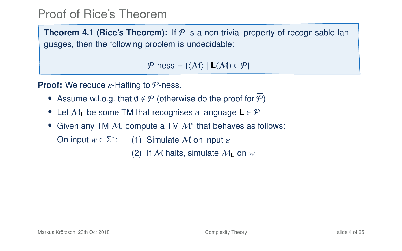**Theorem 4[.1](#page-1-0) (Rice's Theorem):** If  $P$  is a non-trivial property of recognisable languages, then the following problem is undecidable:

 $P$ -ness = { $\langle M \rangle$  | **L** $(M) \in P$ }

**Proof:** We reduce ε-Halting to *P*-ness.

- Assume w.l.o.g. that  $\emptyset \notin \mathcal{P}$  (otherwise do the proof for  $\mathcal{P}$ )
- Let M**<sup>L</sup>** be some TM that recognises a language **L** ∈ P
- Given any TM  $M$ , compute a TM  $M^*$  that behaves as follows:

On input  $w \in \Sigma^*$ : (1) Simulate *M* on input  $\varepsilon$ 

(2) If M halts, simulate  $M_{\rm I}$  on  $w$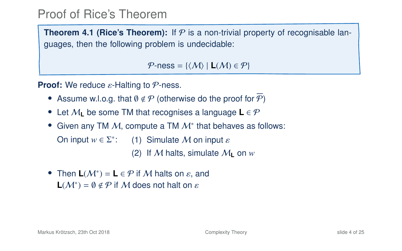**Theorem 4[.1](#page-1-0) (Rice's Theorem):** If  $P$  is a non-trivial property of recognisable languages, then the following problem is undecidable:

 $P$ -ness = { $\langle M \rangle$  | **L** $(M) \in P$ }

**Proof:** We reduce ε-Halting to *P*-ness.

- Assume w.l.o.g. that  $\emptyset \notin \mathcal{P}$  (otherwise do the proof for  $\mathcal{P}$ )
- Let M**<sup>L</sup>** be some TM that recognises a language **L** ∈ P
- Given any TM  $M$ , compute a TM  $M^*$  that behaves as follows:

On input  $w \in \Sigma^*$ : (1) Simulate *M* on input  $\varepsilon$ 

(2) If M halts, simulate  $M_{\rm I}$  on  $w$ 

• Then  $L(M^*) = L \in \mathcal{P}$  if M halts on  $\varepsilon$ , and **L**( $\mathcal{M}^*$ ) = 0  $\notin \mathcal{P}$  if M does not halt on  $\varepsilon$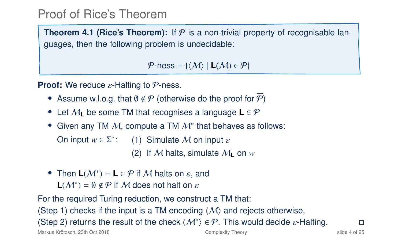**Theorem 4[.1](#page-1-0) (Rice's Theorem):** If  $P$  is a non-trivial property of recognisable languages, then the following problem is undecidable:

 $P$ -ness = { $\langle M \rangle$  | **L** $(M) \in P$ }

**Proof:** We reduce ε-Halting to *P*-ness.

- Assume w.l.o.g. that  $\emptyset \notin \mathcal{P}$  (otherwise do the proof for  $\mathcal{P}$ )
- Let M**<sup>L</sup>** be some TM that recognises a language **L** ∈ P
- Given any TM  $M$ , compute a TM  $M^*$  that behaves as follows:

On input  $w \in \Sigma^*$ : (1) Simulate *M* on input  $\varepsilon$ 

(2) If M halts, simulate  $M_{\rm I}$  on  $w$ 

• Then  $L(M^*) = L \in \mathcal{P}$  if M halts on  $\varepsilon$ , and **L**( $M^*$ ) =  $\emptyset \notin \mathcal{P}$  if  $M$  does not halt on  $\varepsilon$ 

For the required Turing reduction, we construct a TM that:

(Step 1) checks if the input is a TM encoding  $\langle M \rangle$  and rejects otherwise,

(Step 2) returns the result of the check  $\langle M^* \rangle \in \mathcal{P}$ . This would decide  $\varepsilon$ -Halting.  $\square$ 

Markus Krötzsch, 23th Oct 2018 [Complexity Theory](#page-0-0) slide 4 of 25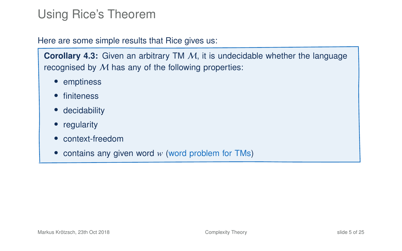# Using Rice's Theorem

#### Here are some simple results that Rice gives us:

**Corollary 4.3:** Given an arbitrary TM M, it is undecidable whether the language recognised by M has any of the following properties:

- emptiness
- finiteness
- decidability
- regularity
- context-freedom
- contains any given word *w* (word problem for TMs)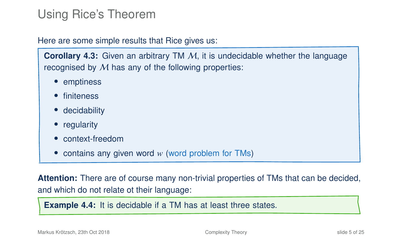# Using Rice's Theorem

Here are some simple results that Rice gives us:

**Corollary 4.3:** Given an arbitrary TM M, it is undecidable whether the language recognised by  $M$  has any of the following properties:

- emptiness
- finiteness
- decidability
- regularity
- context-freedom
- contains any given word *w* (word problem for TMs)

**Attention:** There are of course many non-trivial properties of TMs that can be decided, and which do not relate ot their language:

**Example 4.4:** It is decidable if a TM has at least three states.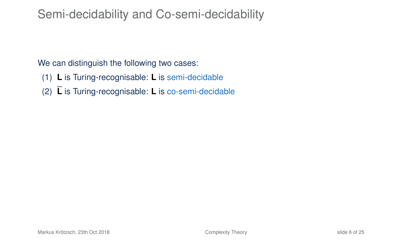## Semi-decidability and Co-semi-decidability

We can distinguish the following two cases:

- (1) **L** is Turing-recognisable: **L** is semi-decidable
- (2) **L** is Turing-recognisable: **L** is co-semi-decidable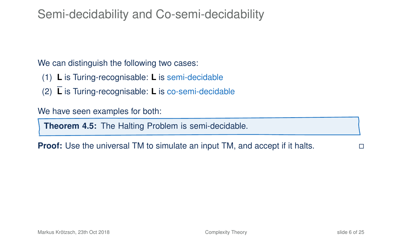## Semi-decidability and Co-semi-decidability

We can distinguish the following two cases:

- (1) **L** is Turing-recognisable: **L** is semi-decidable
- (2) **L** is Turing-recognisable: **L** is co-semi-decidable

We have seen examples for both:

**Theorem 4.5:** The Halting Problem is semi-decidable.

**Proof:** Use the universal TM to simulate an input TM, and accept if it halts.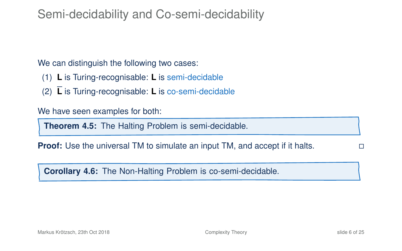### Semi-decidability and Co-semi-decidability

We can distinguish the following two cases:

- (1) **L** is Turing-recognisable: **L** is semi-decidable
- (2) **L** is Turing-recognisable: **L** is co-semi-decidable

We have seen examples for both:

**Theorem 4.5:** The Halting Problem is semi-decidable.

**Proof:** Use the universal TM to simulate an input TM, and accept if it halts.

**Corollary 4.6:** The Non-Halting Problem is co-semi-decidable.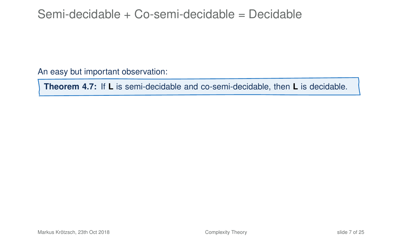### Semi-decidable + Co-semi-decidable = Decidable

An easy but important observation:

**Theorem 4.7:** If **L** is semi-decidable and co-semi-decidable, then **L** is decidable.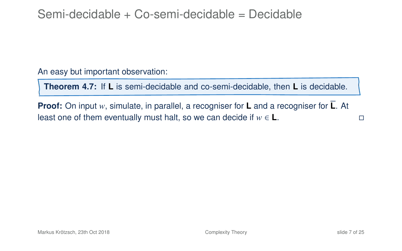### Semi-decidable + Co-semi-decidable = Decidable

An easy but important observation:

**Theorem 4.7:** If **L** is semi-decidable and co-semi-decidable, then **L** is decidable.

**Proof:** On input *w*, simulate, in parallel, a recogniser for **L** and a recogniser for **L**. At least one of them eventually must halt, so we can decide if  $w \in L$ .  $□$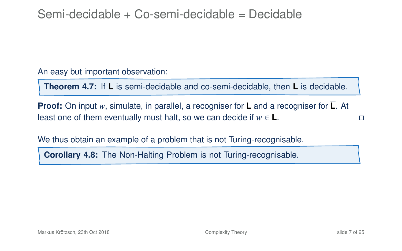### Semi-decidable + Co-semi-decidable = Decidable

An easy but important observation:

**Theorem 4.7:** If **L** is semi-decidable and co-semi-decidable, then **L** is decidable.

**Proof:** On input *w*, simulate, in parallel, a recogniser for **L** and a recogniser for **L**. At least one of them eventually must halt, so we can decide if  $w \in L$ .  $□$ 

We thus obtain an example of a problem that is not Turing-recognisable.

**Corollary 4.8:** The Non-Halting Problem is not Turing-recognisable.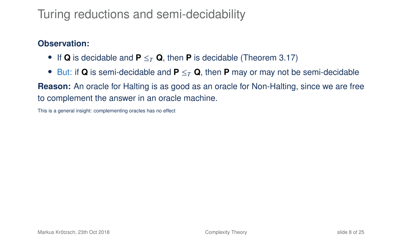# Turing reductions and semi-decidability

#### **Observation:**

- If **Q** is decidable and **P**  $\leq_T$  **Q**, then **P** is decidable (Theorem 3.17)
- But: if **Q** is semi-decidable and **P** ≤*<sup>T</sup>* **Q**, then **P** may or may not be semi-decidable

**Reason:** An oracle for Halting is as good as an oracle for Non-Halting, since we are free to complement the answer in an oracle machine.

This is a general insight: complementing oracles has no effect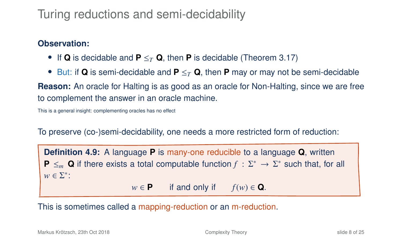# Turing reductions and semi-decidability

#### **Observation:**

- If **Q** is decidable and **P** ≤*<sup>T</sup>* **Q**, then **P** is decidable (Theorem 3.17)
- But: if **Q** is semi-decidable and **P** ≤*<sup>T</sup>* **Q**, then **P** may or may not be semi-decidable

**Reason:** An oracle for Halting is as good as an oracle for Non-Halting, since we are free to complement the answer in an oracle machine.

This is a general insight: complementing oracles has no effect

To preserve (co-)semi-decidability, one needs a more restricted form of reduction:

**Definition 4.9:** A language **P** is many-one reducible to a language **Q**, written **P**  $\leq_m$  **Q** if there exists a total computable function  $f : \Sigma^* \to \Sigma^*$  such that, for all  $w \in \Sigma^*$ :  $w \in \mathbf{P}$  if and only if  $f(w) \in \mathbf{Q}$ .

This is sometimes called a mapping-reduction or an m-reduction.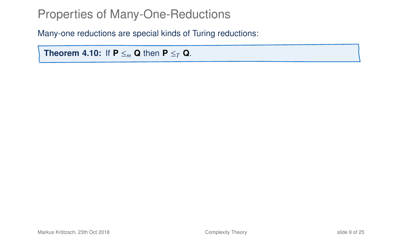Many-one reductions are special kinds of Turing reductions:

**Theorem 4.10:** If  $P \leq_m Q$  then  $P \leq_T Q$ .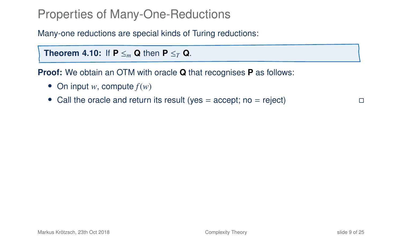Many-one reductions are special kinds of Turing reductions:

**Theorem 4.10:** If  $P \leq_m Q$  then  $P \leq_T Q$ .

**Proof:** We obtain an OTM with oracle **Q** that recognises **P** as follows:

- On input *w*, compute *f*(*w*)
- Call the oracle and return its result (yes  $=$  accept; no  $=$  reject)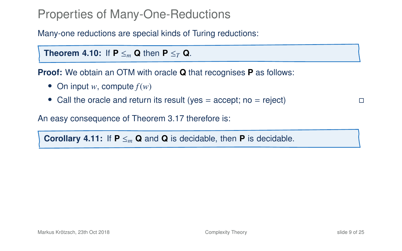Many-one reductions are special kinds of Turing reductions:

**Theorem 4.10:** If  $P \leq_m Q$  then  $P \leq_T Q$ .

**Proof:** We obtain an OTM with oracle **Q** that recognises **P** as follows:

- On input *w*, compute *f*(*w*)
- Call the oracle and return its result (yes  $=$  accept; no  $=$  reject)

An easy consequence of Theorem 3.17 therefore is:

**Corollary 4.11:** If  $P \leq m$  **Q** and **Q** is decidable, then **P** is decidable.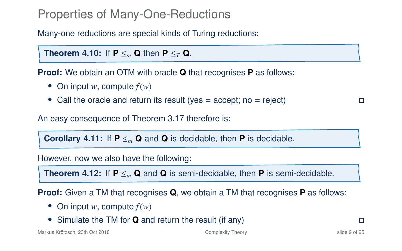Many-one reductions are special kinds of Turing reductions:

**Theorem 4.10:** If  $P \leq_m Q$  then  $P \leq_T Q$ .

**Proof:** We obtain an OTM with oracle **Q** that recognises **P** as follows:

- On input *w*, compute *f*(*w*)
- Call the oracle and return its result (yes  $=$  accept; no  $=$  reject)

An easy consequence of Theorem 3.17 therefore is:

**Corollary 4.11:** If  $P \leq m$  **Q** and **Q** is decidable, then **P** is decidable.

However, now we also have the following:

**Theorem 4.12:** If  $P \leq_m Q$  and Q is semi-decidable, then P is semi-decidable.

**Proof:** Given a TM that recognises **Q**, we obtain a TM that recognises **P** as follows:

- On input *w*, compute *f*(*w*)
- Simulate the TM for **Q** and return the result (if any)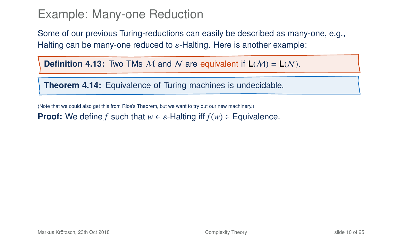Some of our previous Turing-reductions can easily be described as many-one, e.g., Halting can be many-one reduced to  $\varepsilon$ -Halting. Here is another example:

**Definition 4.13:** Two TMs M and N are equivalent if  $L(M) = L(N)$ .

**Theorem 4.14:** Equivalence of Turing machines is undecidable.

(Note that we could also get this from Rice's Theorem, but we want to try out our new machinery.)

**Proof:** We define *f* such that  $w \in \varepsilon$ -Halting iff  $f(w) \in \text{Equivalence}$ .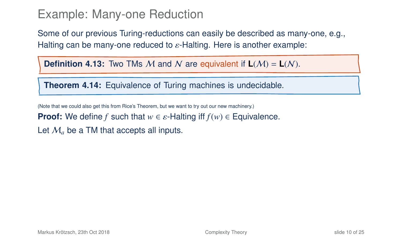Some of our previous Turing-reductions can easily be described as many-one, e.g., Halting can be many-one reduced to  $\varepsilon$ -Halting. Here is another example:

**Definition 4.13:** Two TMs M and N are equivalent if  $L(M) = L(N)$ .

**Theorem 4.14:** Equivalence of Turing machines is undecidable.

(Note that we could also get this from Rice's Theorem, but we want to try out our new machinery.)

**Proof:** We define *f* such that  $w \in \varepsilon$ -Halting iff  $f(w) \in \text{Equivalence}$ .

Let  $M_a$  be a TM that accepts all inputs.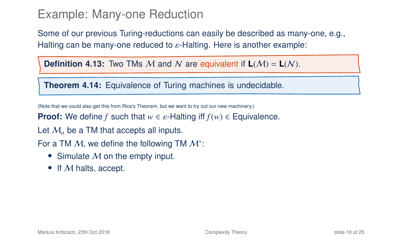Some of our previous Turing-reductions can easily be described as many-one, e.g., Halting can be many-one reduced to  $\varepsilon$ -Halting. Here is another example:

**Definition 4.13:** Two TMs M and N are equivalent if  $L(M) = L(N)$ .

**Theorem 4.14:** Equivalence of Turing machines is undecidable.

(Note that we could also get this from Rice's Theorem, but we want to try out our new machinery.)

**Proof:** We define *f* such that  $w \in \varepsilon$ -Halting iff  $f(w) \in \text{Equivalence}$ .

Let  $M_a$  be a TM that accepts all inputs.

For a TM  $M$ , we define the following TM  $M^*$ :

- Simulate  $M$  on the empty input.
- If M halts, accept.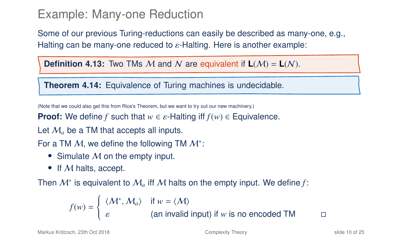Some of our previous Turing-reductions can easily be described as many-one, e.g., Halting can be many-one reduced to  $\varepsilon$ -Halting. Here is another example:

**Definition 4.13:** Two TMs M and N are equivalent if  $L(M) = L(N)$ .

**Theorem 4.14:** Equivalence of Turing machines is undecidable.

(Note that we could also get this from Rice's Theorem, but we want to try out our new machinery.)

**Proof:** We define *f* such that  $w \in \varepsilon$ -Halting iff  $f(w) \in \text{Equivalence}$ .

Let  $M_a$  be a TM that accepts all inputs.

For a TM  $M$ , we define the following TM  $M^*$ :

- Simulate  $M$  on the empty input.
- If M halts, accept.

Then  $\mathcal{M}^*$  is equivalent to  $\mathcal{M}_a$  iff  $\mathcal M$  halts on the empty input. We define f:

$$
f(w) = \begin{cases} \langle M^*, M_a \rangle & \text{if } w = \langle M \rangle \\ \varepsilon & \text{(an invalid input) if } w \text{ is no encoded TM} \end{cases}
$$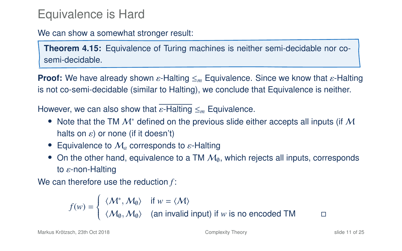### Equivalence is Hard

We can show a somewhat stronger result:

**Theorem 4.15:** Equivalence of Turing machines is neither semi-decidable nor cosemi-decidable.

**Proof:** We have already shown ε-Halting  $\leq_m$  Equivalence. Since we know that ε-Halting is not co-semi-decidable (similar to Halting), we conclude that Equivalence is neither.

However, we can also show that <sup>ε</sup>-Halting <sup>≤</sup>*<sup>m</sup>* Equivalence.

- Note that the TM  $\mathcal{M}^*$  defined on the previous slide either accepts all inputs (if  $\mathcal M$ halts on  $\varepsilon$ ) or none (if it doesn't)
- Equivalence to  $\mathcal{M}_a$  corresponds to  $\varepsilon$ -Halting
- On the other hand, equivalence to a TM  $M<sub>0</sub>$ , which rejects all inputs, corresponds to  $\varepsilon$ -non-Halting

We can therefore use the reduction *f* :

$$
f(w) = \begin{cases} \langle \mathcal{M}^*, \mathcal{M}_0 \rangle & \text{if } w = \langle \mathcal{M} \rangle \\ \langle \mathcal{M}_0, \mathcal{M}_0 \rangle & \text{(an invalid input) if } w \text{ is no encoded TM} \end{cases}
$$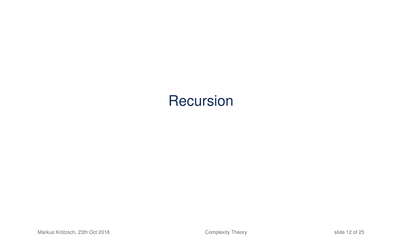# **Recursion**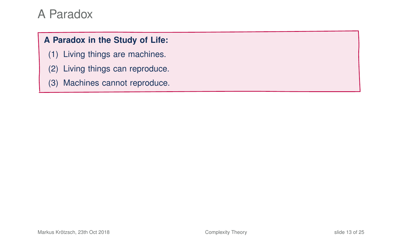#### **A Paradox in the Study of Life:**

- (1) Living things are machines.
- (2) Living things can reproduce.
- (3) Machines cannot reproduce.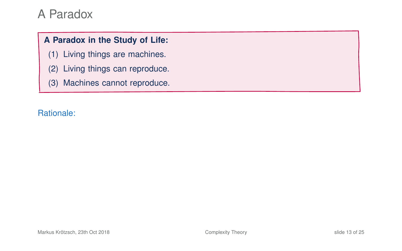#### **A Paradox in the Study of Life:**

- (1) Living things are machines.
- (2) Living things can reproduce.
- (3) Machines cannot reproduce.

#### Rationale: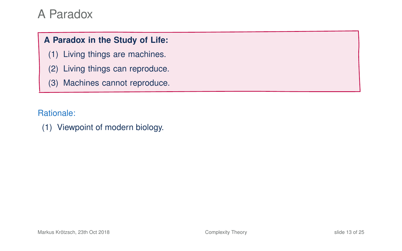#### **A Paradox in the Study of Life:**

- (1) Living things are machines.
- (2) Living things can reproduce.
- (3) Machines cannot reproduce.

Rationale:

(1) Viewpoint of modern biology.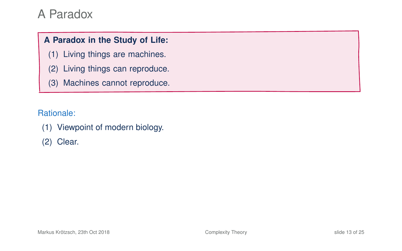#### **A Paradox in the Study of Life:**

- (1) Living things are machines.
- (2) Living things can reproduce.
- (3) Machines cannot reproduce.

Rationale:

(1) Viewpoint of modern biology.

(2) Clear.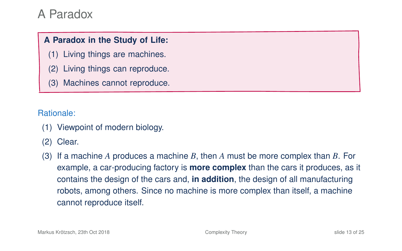#### **A Paradox in the Study of Life:**

- (1) Living things are machines.
- (2) Living things can reproduce.
- (3) Machines cannot reproduce.

Rationale:

- (1) Viewpoint of modern biology.
- (2) Clear.
- (3) If a machine *A* produces a machine *B*, then *A* must be more complex than *B*. For example, a car-producing factory is **more complex** than the cars it produces, as it contains the design of the cars and, **in addition**, the design of all manufacturing robots, among others. Since no machine is more complex than itself, a machine cannot reproduce itself.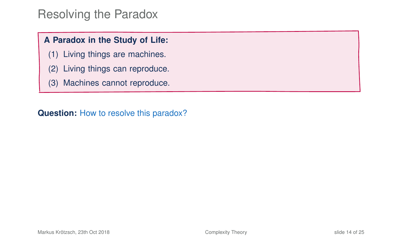### Resolving the Paradox

#### **A Paradox in the Study of Life:**

- (1) Living things are machines.
- (2) Living things can reproduce.
- (3) Machines cannot reproduce.

**Question:** How to resolve this paradox?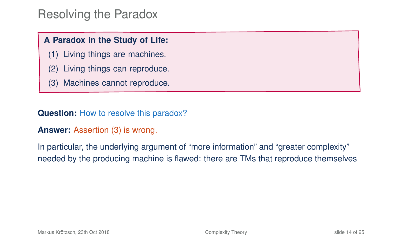### Resolving the Paradox

#### **A Paradox in the Study of Life:**

- (1) Living things are machines.
- (2) Living things can reproduce.
- (3) Machines cannot reproduce.

**Question:** How to resolve this paradox?

#### **Answer:** Assertion (3) is wrong.

In particular, the underlying argument of "more information" and "greater complexity" needed by the producing machine is flawed: there are TMs that reproduce themselves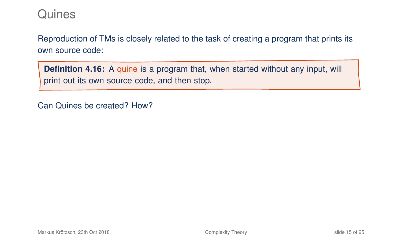Reproduction of TMs is closely related to the task of creating a program that prints its own source code:

**Definition 4.16:** A quine is a program that, when started without any input, will print out its own source code, and then stop.

Can Quines be created? How?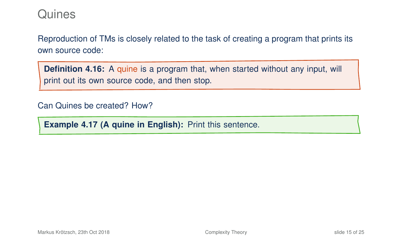Reproduction of TMs is closely related to the task of creating a program that prints its own source code:

**Definition 4.16:** A quine is a program that, when started without any input, will print out its own source code, and then stop.

Can Quines be created? How?

**Example 4.17 (A quine in English):** Print this sentence.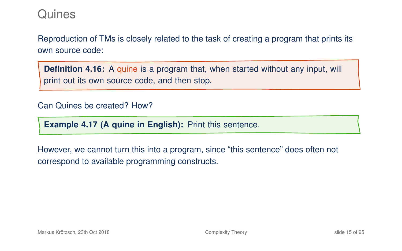Reproduction of TMs is closely related to the task of creating a program that prints its own source code:

**Definition 4.16:** A quine is a program that, when started without any input, will print out its own source code, and then stop.

#### Can Quines be created? How?

**Example 4.17 (A quine in English):** Print this sentence.

However, we cannot turn this into a program, since "this sentence" does often not correspond to available programming constructs.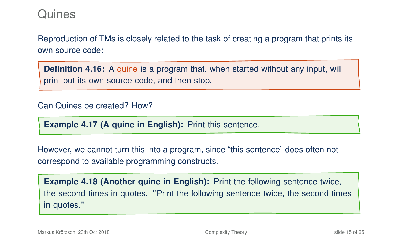Reproduction of TMs is closely related to the task of creating a program that prints its own source code:

**Definition 4.16:** A quine is a program that, when started without any input, will print out its own source code, and then stop.

#### Can Quines be created? How?

**Example 4.17 (A quine in English):** Print this sentence.

However, we cannot turn this into a program, since "this sentence" does often not correspond to available programming constructs.

**Example 4.18 (Another quine in English):** Print the following sentence twice, the second times in quotes. "Print the following sentence twice, the second times in quotes."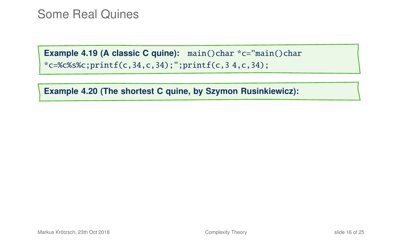**Example 4.20 (The shortest C quine, by Szymon Rusinkiewicz):**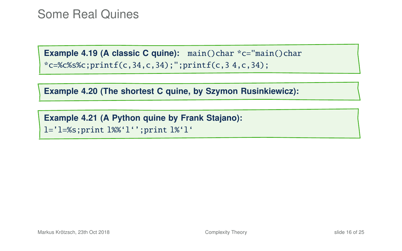**Example 4.20 (The shortest C quine, by Szymon Rusinkiewicz):**

**Example 4.21 (A Python quine by Frank Stajano):** l='l=%s;print l%%'l'';print l%'l'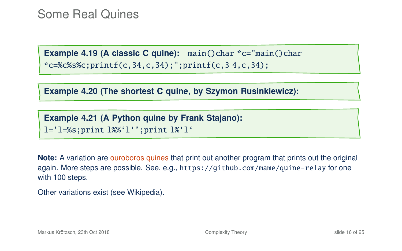**Example 4.20 (The shortest C quine, by Szymon Rusinkiewicz):**

**Example 4.21 (A Python quine by Frank Stajano):** l='l=%s;print l%%'l'';print l%'l'

**Note:** A variation are ouroboros quines that print out another program that prints out the original again. More steps are possible. See, e.g., <https://github.com/mame/quine-relay> for one with 100 steps.

Other variations exist [\(see Wikipedia\)](https://en.wikipedia.org/wiki/Quine_(computing)).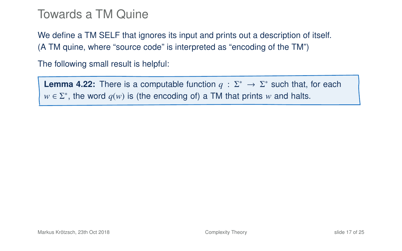### Towards a TM Quine

We define a TM SELF that ignores its input and prints out a description of itself. (A TM quine, where "source code" is interpreted as "encoding of the TM")

The following small result is helpful:

**Lemma 4.22:** There is a computable function  $q : \Sigma^* \to \Sigma^*$  such that, for each  $w \in \Sigma^*$ , the word  $q(w)$  is (the encoding of) a TM that prints *w* and halts.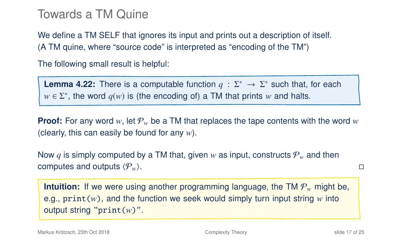### Towards a TM Quine

We define a TM SELF that ignores its input and prints out a description of itself. (A TM quine, where "source code" is interpreted as "encoding of the TM")

The following small result is helpful:

**Lemma 4.22:** There is a computable function  $q : \Sigma^* \to \Sigma^*$  such that, for each  $w \in \Sigma^*$ , the word  $q(w)$  is (the encoding of) a TM that prints *w* and halts.

**Proof:** For any word *w*, let  $\mathcal{P}_w$  be a TM that replaces the tape contents with the word *w* (clearly, this can easily be found for any *w*).

Now q is simply computed by a TM that, given w as input, constructs  $P_w$  and then computes and outputs  $\langle P_w \rangle$ .

**Intuition:** If we were using another programming language, the TM  $P_w$  might be, e.g.,  $print(w)$ , and the function we seek would simply turn input string w into output string "print(*w*)".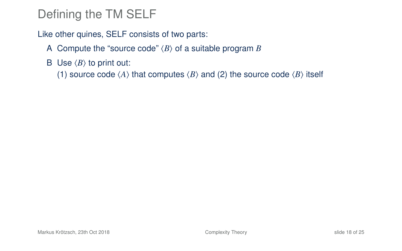# Defining the TM SELF

Like other quines, SELF consists of two parts:

- A Compute the "source code"  $\langle B \rangle$  of a suitable program *B*
- B Use  $\langle B \rangle$  to print out:

(1) source code  $\langle A \rangle$  that computes  $\langle B \rangle$  and (2) the source code  $\langle B \rangle$  itself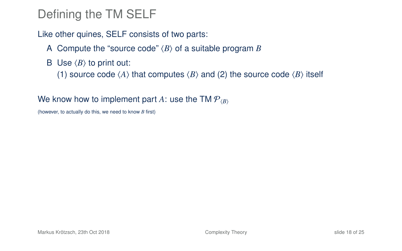# Defining the TM SELF

Like other quines, SELF consists of two parts:

A Compute the "source code"  $\langle B \rangle$  of a suitable program *B* 

B Use  $\langle B \rangle$  to print out:

(1) source code  $\langle A \rangle$  that computes  $\langle B \rangle$  and (2) the source code  $\langle B \rangle$  itself

#### We know how to implement part A: use the TM  $P_{\ell B}$

(however, to actually do this, we need to know *B* first)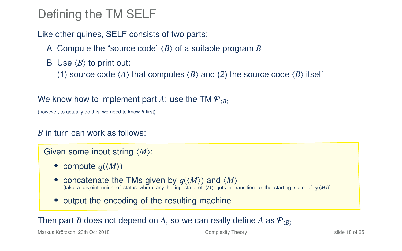# Defining the TM SELF

Like other quines, SELF consists of two parts:

A Compute the "source code"  $\langle B \rangle$  of a suitable program *B* 

B Use  $\langle B \rangle$  to print out:

(1) source code  $\langle A \rangle$  that computes  $\langle B \rangle$  and (2) the source code  $\langle B \rangle$  itself

#### We know how to implement part A: use the TM  $P_{\ell B}$

(however, to actually do this, we need to know *B* first)

#### *B* in turn can work as follows:

Given some input string  $\langle M \rangle$ :

- compute  $q(\langle M \rangle)$
- concatenate the TMs given by  $q(\langle M \rangle)$  and  $\langle M \rangle$ (take a disjoint union of states where any halting state of  $\langle M \rangle$  gets a transition to the starting state of  $q(\langle M \rangle)$ )
- output the encoding of the resulting machine

#### Then part *B* does not depend on *A*, so we can really define *A* as  $P_{\langle B \rangle}$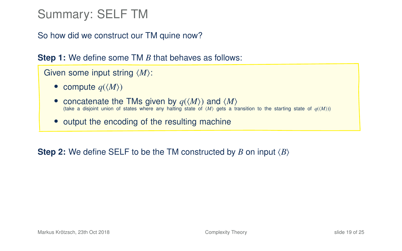# Summary: SELF TM

So how did we construct our TM quine now?

**Step 1:** We define some TM *B* that behaves as follows:

```
Given some input string \langle M \rangle:
```
- compute  $q(\langle M \rangle)$
- concatenate the TMs given by  $q(\langle M \rangle)$  and  $\langle M \rangle$  (take a disjoint union of states where any halting state of  $\langle M \rangle$  gets a transition to the starting state of  $q(\langle M \rangle)$
- output the encoding of the resulting machine

**Step 2:** We define SELF to be the TM constructed by *B* on input  $\langle B \rangle$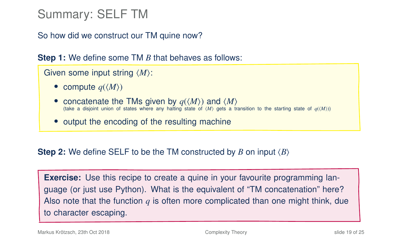# Summary: SELF TM

So how did we construct our TM quine now?

**Step 1:** We define some TM *B* that behaves as follows:

```
Given some input string \langle M \rangle:
```
- compute  $q(\langle M \rangle)$
- concatenate the TMs given by  $q(\langle M \rangle)$  and  $\langle M \rangle$  (take a disjoint union of states where any halting state of  $\langle M \rangle$  gets a transition to the starting state of  $q(\langle M \rangle)$
- output the encoding of the resulting machine

**Step 2:** We define SELF to be the TM constructed by *B* on input  $\langle B \rangle$ 

**Exercise:** Use this recipe to create a quine in your favourite programming language (or just use Python). What is the equivalent of "TM concatenation" here? Also note that the function *q* is often more complicated than one might think, due to character escaping.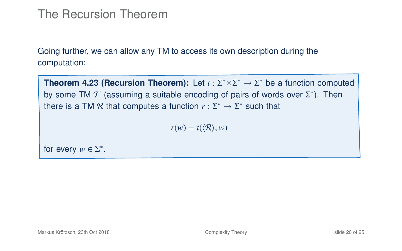### The Recursion Theorem

Going further, we can allow any TM to access its own description during the computation:

**Theorem 4.23 (Recursion Theorem):** Let  $t : \Sigma^* \times \Sigma^* \to \Sigma^*$  be a function computed by some TM  $\mathcal T$  (assuming a suitable encoding of pairs of words over  $\Sigma^*$ ). Then there is a TM  $\mathcal R$  that computes a function  $r : \Sigma^* \to \Sigma^*$  such that

<span id="page-53-0"></span> $r(w) = t(\langle \mathcal{R} \rangle, w)$ 

for every  $w \in \Sigma^*$ .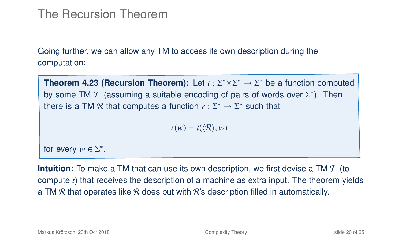### The Recursion Theorem

Going further, we can allow any TM to access its own description during the computation:

**Theorem 4.23 (Recursion Theorem):** Let  $t : \Sigma^* \times \Sigma^* \to \Sigma^*$  be a function computed by some TM  $\mathcal T$  (assuming a suitable encoding of pairs of words over  $\Sigma^*$ ). Then there is a TM  $\mathcal R$  that computes a function  $r : \Sigma^* \to \Sigma^*$  such that

$$
r(w) = t(\langle \mathcal{R} \rangle, w)
$$

for every  $w \in \Sigma^*$ .

**Intuition:** To make a TM that can use its own description, we first devise a TM T (to compute *t*) that receives the description of a machine as extra input. The theorem yields a TM  $R$  that operates like  $R$  does but with  $R$ 's description filled in automatically.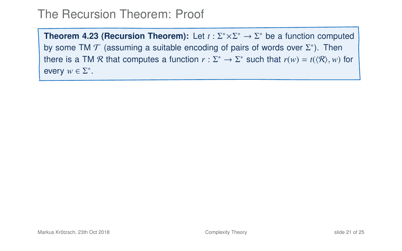**Theorem 4[.23](#page-53-0) (Recursion Theorem):** Let  $t : \Sigma^* \times \Sigma^* \to \Sigma^*$  be a function computed by some TM  $\mathcal T$  (assuming a suitable encoding of pairs of words over  $\Sigma^*$ ). Then there is a TM R that computes a function  $r : \Sigma^* \to \Sigma^*$  such that  $r(w) = t(\langle \mathcal{R} \rangle, w)$  for every  $w \in \Sigma^*$ .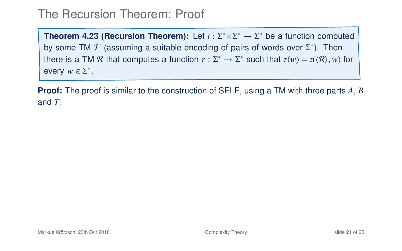**Theorem 4[.23](#page-53-0) (Recursion Theorem):** Let  $t : \Sigma^* \times \Sigma^* \to \Sigma^*$  be a function computed by some TM  $\mathcal T$  (assuming a suitable encoding of pairs of words over  $\Sigma^*$ ). Then there is a TM R that computes a function  $r : \Sigma^* \to \Sigma^*$  such that  $r(w) = t(\langle \mathcal{R} \rangle, w)$  for every  $w \in \Sigma^*$ .

**Proof:** The proof is similar to the construction of SELF, using a TM with three parts *A*, *B* and *T*: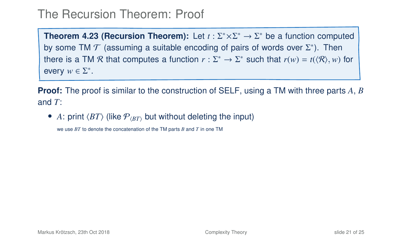**Theorem 4[.23](#page-53-0) (Recursion Theorem):** Let  $t : \Sigma^* \times \Sigma^* \to \Sigma^*$  be a function computed by some TM  $\mathcal T$  (assuming a suitable encoding of pairs of words over  $\Sigma^*$ ). Then there is a TM R that computes a function  $r : \Sigma^* \to \Sigma^*$  such that  $r(w) = t(\langle \mathcal{R} \rangle, w)$  for every  $w \in \Sigma^*$ .

**Proof:** The proof is similar to the construction of SELF, using a TM with three parts *A*, *B* and *T*:

• A: print  $\langle BT \rangle$  (like  $P_{\langle BT \rangle}$  but without deleting the input)

we use *BT* to denote the concatenation of the TM parts *B* and *T* in one TM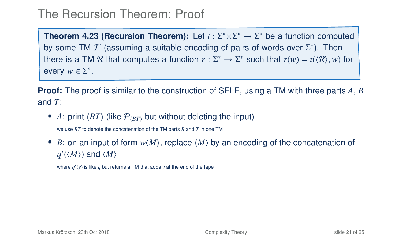**Theorem 4[.23](#page-53-0) (Recursion Theorem):** Let  $t : \Sigma^* \times \Sigma^* \to \Sigma^*$  be a function computed by some TM  $\mathcal T$  (assuming a suitable encoding of pairs of words over  $\Sigma^*$ ). Then there is a TM R that computes a function  $r : \Sigma^* \to \Sigma^*$  such that  $r(w) = t(\langle \mathcal{R} \rangle, w)$  for every  $w \in \Sigma^*$ .

**Proof:** The proof is similar to the construction of SELF, using a TM with three parts *A*, *B* and *T*:

• A: print  $\langle BT \rangle$  (like  $P_{\langle BT \rangle}$  but without deleting the input)

we use *BT* to denote the concatenation of the TM parts *B* and *T* in one TM

• *B*: on an input of form  $w\langle M \rangle$ , replace  $\langle M \rangle$  by an encoding of the concatenation of  $q'(\langle M \rangle)$  and  $\langle M \rangle$ 

where  $q'(v)$  is like  $q$  but returns a TM that adds  $v$  at the end of the tape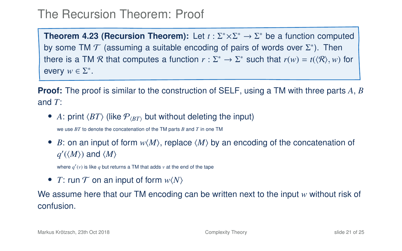**Theorem 4[.23](#page-53-0) (Recursion Theorem):** Let  $t : \Sigma^* \times \Sigma^* \to \Sigma^*$  be a function computed by some TM  $\mathcal T$  (assuming a suitable encoding of pairs of words over  $\Sigma^*$ ). Then there is a TM R that computes a function  $r : \Sigma^* \to \Sigma^*$  such that  $r(w) = t(\langle \mathcal{R} \rangle, w)$  for every  $w \in \Sigma^*$ .

**Proof:** The proof is similar to the construction of SELF, using a TM with three parts *A*, *B* and *T*:

• A: print  $\langle BT \rangle$  (like  $P_{\langle BT \rangle}$  but without deleting the input)

we use *BT* to denote the concatenation of the TM parts *B* and *T* in one TM

• *B*: on an input of form  $w\langle M \rangle$ , replace  $\langle M \rangle$  by an encoding of the concatenation of  $q'(\langle M \rangle)$  and  $\langle M \rangle$ 

where  $q'(v)$  is like  $q$  but returns a TM that adds  $v$  at the end of the tape

• *T*: run  $T$  on an input of form  $w\langle N \rangle$ 

We assume here that our TM encoding can be written next to the input *w* without risk of confusion.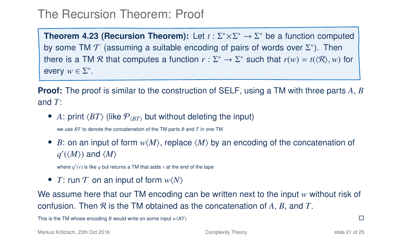**Theorem 4[.23](#page-53-0) (Recursion Theorem):** Let  $t : \Sigma^* \times \Sigma^* \to \Sigma^*$  be a function computed by some TM  $\mathcal T$  (assuming a suitable encoding of pairs of words over  $\Sigma^*$ ). Then there is a TM R that computes a function  $r : \Sigma^* \to \Sigma^*$  such that  $r(w) = t(\langle \mathcal{R} \rangle, w)$  for every  $w \in \Sigma^*$ .

**Proof:** The proof is similar to the construction of SELF, using a TM with three parts *A*, *B* and *T*:

• A: print  $\langle BT \rangle$  (like  $P_{\langle BT \rangle}$  but without deleting the input)

we use *BT* to denote the concatenation of the TM parts *B* and *T* in one TM

• *B*: on an input of form  $w\langle M \rangle$ , replace  $\langle M \rangle$  by an encoding of the concatenation of  $q'(\langle M \rangle)$  and  $\langle M \rangle$ 

where  $q'(v)$  is like  $q$  but returns a TM that adds  $v$  at the end of the tape

• *T*: run  $T$  on an input of form  $w\langle N \rangle$ 

We assume here that our TM encoding can be written next to the input *w* without risk of confusion. Then R is the TM obtained as the concatenation of *A*, *B*, and *T*.

This is the TM whose encoding *B* would write on some input  $w(BT)$ 

Markus Krötzsch, 23th Oct 2018 [Complexity Theory](#page-0-0) slide 21 of 25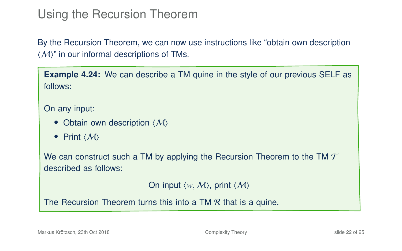# Using the Recursion Theorem

By the Recursion Theorem, we can now use instructions like "obtain own description  $\langle \mathcal{M} \rangle$ " in our informal descriptions of TMs.

**Example 4.24:** We can describe a TM quine in the style of our previous SELF as follows:

On any input:

- Obtain own description  $\langle M \rangle$
- Print  $\langle M \rangle$

We can construct such a TM by applying the Recursion Theorem to the TM  $\mathcal T$ described as follows:

On input  $\langle w, M \rangle$ , print  $\langle M \rangle$ 

The Recursion Theorem turns this into a TM  $\mathcal R$  that is a quine.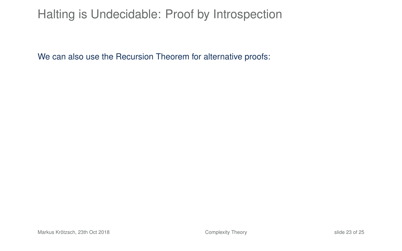# Halting is Undecidable: Proof by Introspection

We can also use the Recursion Theorem for alternative proofs: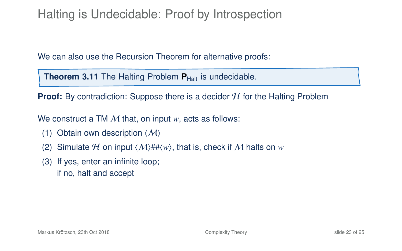# Halting is Undecidable: Proof by Introspection

We can also use the Recursion Theorem for alternative proofs:

**Theorem 3.11** The Halting Problem **P**<sub>Halt</sub> is undecidable.

**Proof:** By contradiction: Suppose there is a decider  $H$  for the Halting Problem

We construct a TM M that, on input *w*, acts as follows:

- (1) Obtain own description  $\langle M \rangle$
- (2) Simulate H on input  $\langle M \rangle$ ## $\langle w \rangle$ , that is, check if M halts on *w*
- (3) If yes, enter an infinite loop; if no, halt and accept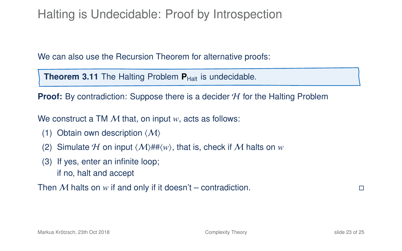# Halting is Undecidable: Proof by Introspection

We can also use the Recursion Theorem for alternative proofs:

**Theorem 3.11** The Halting Problem **P**<sub>Halt</sub> is undecidable.

**Proof:** By contradiction: Suppose there is a decider H for the Halting Problem

We construct a TM M that, on input *w*, acts as follows:

- (1) Obtain own description  $\langle M \rangle$
- (2) Simulate H on input  $\langle M \rangle$ ## $\langle w \rangle$ , that is, check if M halts on *w*
- (3) If yes, enter an infinite loop; if no, halt and accept

Then M halts on *w* if and only if it doesn't – contradiction.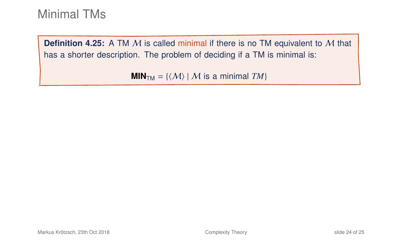**Definition 4.25:** A TM M is called minimal if there is no TM equivalent to M that has a shorter description. The problem of deciding if a TM is minimal is:

**MIN**<sub>TM</sub> = { $\langle M \rangle$  | M is a minimal *TM*}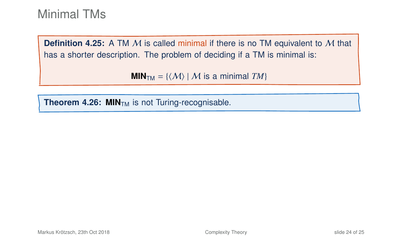**Definition 4.25:** A TM M is called minimal if there is no TM equivalent to M that has a shorter description. The problem of deciding if a TM is minimal is:

**MIN**<sub>TM</sub> = { $\langle M \rangle$  | M is a minimal *TM*}

**Theorem 4.26: MIN<sub>TM</sub>** is not Turing-recognisable.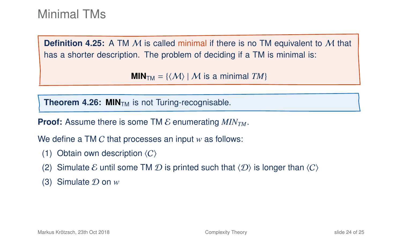**Definition 4.25:** A TM M is called minimal if there is no TM equivalent to M that has a shorter description. The problem of deciding if a TM is minimal is:

**MIN**<sub>TM</sub> = { $\langle M \rangle$  | M is a minimal *TM*}

**Theorem 4.26: MIN<sub>TM</sub>** is not Turing-recognisable.

**Proof:** Assume there is some TM  $\mathcal{E}$  enumerating  $MIN_{TM}$ .

We define a TM C that processes an input *w* as follows:

- (1) Obtain own description  $\langle C \rangle$
- (2) Simulate E until some TM D is printed such that  $\langle D \rangle$  is longer than  $\langle C \rangle$
- $(3)$  Simulate  $\mathcal D$  on  $w$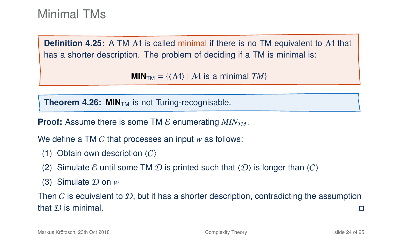**Definition 4.25:** A TM M is called minimal if there is no TM equivalent to M that has a shorter description. The problem of deciding if a TM is minimal is:

**MIN**<sub>TM</sub> = { $\langle M \rangle$  | M is a minimal *TM*}

**Theorem 4.26: MIN<sub>TM</sub>** is not Turing-recognisable.

**Proof:** Assume there is some TM E enumerating *MINTM*.

We define a TM C that processes an input *w* as follows:

- (1) Obtain own description  $\langle C \rangle$
- (2) Simulate E until some TM D is printed such that  $\langle D \rangle$  is longer than  $\langle C \rangle$
- $(3)$  Simulate  $\mathcal D$  on  $w$

Then C is equivalent to  $\mathcal{D}$ , but it has a shorter description, contradicting the assumption that D is minimal.  $\square$